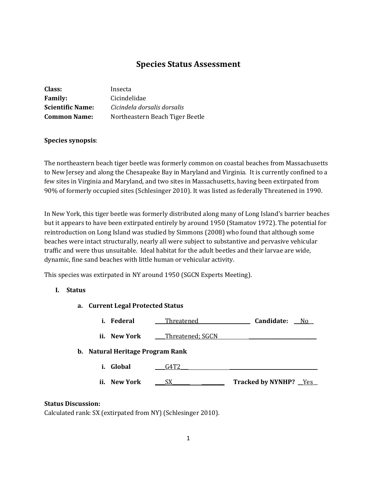# **Species Status Assessment**

| Class:                  | Insecta                         |
|-------------------------|---------------------------------|
| <b>Family:</b>          | Cicindelidae                    |
| <b>Scientific Name:</b> | Cicindela dorsalis dorsalis     |
| <b>Common Name:</b>     | Northeastern Beach Tiger Beetle |

# **Species synopsis**:

The northeastern beach tiger beetle was formerly common on coastal beaches from Massachusetts to New Jersey and along the Chesapeake Bay in Maryland and Virginia. It is currently confined to a few sites in Virginia and Maryland, and two sites in Massachusetts, having been extirpated from 90% of formerly occupied sites (Schlesinger 2010). It was listed as federally Threatened in 1990.

In New York, this tiger beetle was formerly distributed along many of Long Island's barrier beaches but it appears to have been extirpated entirely by around 1950 (Stamatov 1972). The potential for reintroduction on Long Island was studied by Simmons (2008) who found that although some beaches were intact structurally, nearly all were subject to substantive and pervasive vehicular traffic and were thus unsuitable. Ideal habitat for the adult beetles and their larvae are wide, dynamic, fine sand beaches with little human or vehicular activity.

This species was extirpated in NY around 1950 (SGCN Experts Meeting).

# **I. Status**

| ————————————————————             |                  |                       |
|----------------------------------|------------------|-----------------------|
| Federal<br>i.                    | _Threatened      | Candidate: No         |
| ii. New York                     | Threatened: SGCN |                       |
| b. Natural Heritage Program Rank |                  |                       |
| Global<br>i.                     | G4T2             |                       |
| ii. New York                     | SX.              | Tracked by NYNHP? Yes |

# **Status Discussion:**

Calculated rank: SX (extirpated from NY) (Schlesinger 2010).

**a. Current Legal Protected Status**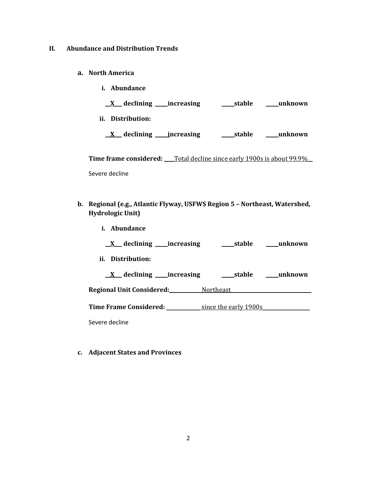# **II. Abundance and Distribution Trends**

- **a. North America**
	- **i. Abundance**

**\_\_X\_\_\_ declining \_\_\_\_\_increasing \_\_\_\_\_stable \_\_\_\_\_unknown**

**ii. Distribution:**

**\_\_X\_\_\_ declining \_\_\_\_\_increasing \_\_\_\_\_stable \_\_\_\_\_unknown**

**Time frame considered:** Total decline since early 1900s is about 99.9%

Severe decline

- **b. Regional (e.g., Atlantic Flyway, USFWS Region 5 – Northeast, Watershed, Hydrologic Unit)**
	- **i. Abundance**

| $X$ declining increasing             | stable<br>unknown       |
|--------------------------------------|-------------------------|
| ii. Distribution:                    |                         |
| $\underline{X}$ declining increasing | _unknown<br>_____stable |
| Regional Unit Considered:            | Northeast               |
| Time Frame Considered:               | since the early 1900s   |
| Severe decline                       |                         |

**c. Adjacent States and Provinces**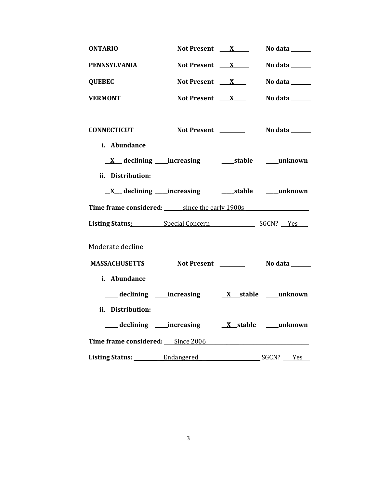| <b>ONTARIO</b>                                                                                                                                                                                                                 | Not Present X                           | No data _______                 |
|--------------------------------------------------------------------------------------------------------------------------------------------------------------------------------------------------------------------------------|-----------------------------------------|---------------------------------|
| <b>PENNSYLVANIA</b>                                                                                                                                                                                                            | Not Present $X$                         | No data $\_\_\_\_\_\_\_\_\_\_\$ |
| <b>QUEBEC</b>                                                                                                                                                                                                                  | Not Present $X$                         | No data ______                  |
| <b>VERMONT</b>                                                                                                                                                                                                                 | Not Present $X$                         | No data ______                  |
| <b>CONNECTICUT</b>                                                                                                                                                                                                             |                                         |                                 |
| i. Abundance<br>ii. Distribution:                                                                                                                                                                                              |                                         |                                 |
|                                                                                                                                                                                                                                |                                         |                                 |
| Time frame considered: since the early 1900s                                                                                                                                                                                   |                                         |                                 |
| Listing Status: Special Concern SGCN? Yes                                                                                                                                                                                      |                                         |                                 |
| Moderate decline                                                                                                                                                                                                               |                                         |                                 |
| <b>MASSACHUSETTS</b>                                                                                                                                                                                                           | Not Present ____________ No data ______ |                                 |
| i. Abundance                                                                                                                                                                                                                   |                                         |                                 |
| declining _____increasing                                                                                                                                                                                                      |                                         | <u>X</u> stable ___ unknown     |
| ii. Distribution:                                                                                                                                                                                                              |                                         |                                 |
| declining increasing X stable unknown                                                                                                                                                                                          |                                         |                                 |
| Time frame considered: Since 2006 Superson Contains the Constant of Superson Constant Constant Oriente Constant Constant Oriente Constant Constant Constant Constant Constant Constant Constant Constant Constant Constant Con |                                         |                                 |
|                                                                                                                                                                                                                                |                                         |                                 |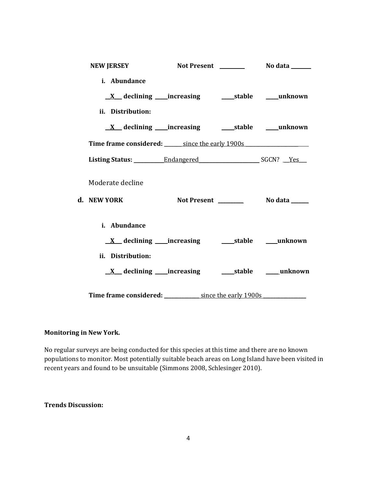| <b>NEW JERSEY</b>                            |                                                        |  |
|----------------------------------------------|--------------------------------------------------------|--|
| i. Abundance                                 |                                                        |  |
|                                              | <u>X</u> declining increasing stable muknown           |  |
| ii. Distribution:                            |                                                        |  |
|                                              |                                                        |  |
| Time frame considered: since the early 1900s |                                                        |  |
|                                              |                                                        |  |
| Moderate decline                             |                                                        |  |
| d. NEW YORK                                  |                                                        |  |
| i. Abundance                                 |                                                        |  |
|                                              |                                                        |  |
| ii. Distribution:                            |                                                        |  |
|                                              | <u>X</u> declining increasing stable must be declined. |  |
| Time frame considered: since the early 1900s |                                                        |  |

# **Monitoring in New York.**

No regular surveys are being conducted for this species at this time and there are no known populations to monitor. Most potentially suitable beach areas on Long Island have been visited in recent years and found to be unsuitable (Simmons 2008, Schlesinger 2010).

### **Trends Discussion:**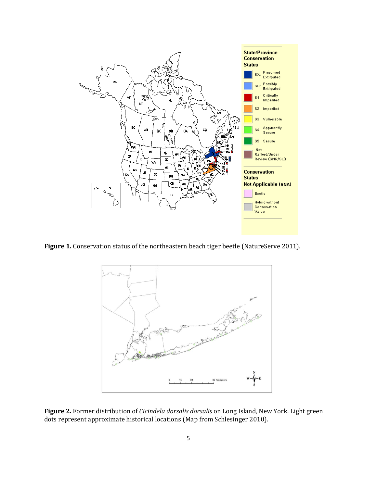

Figure 1. Conservation status of the northeastern beach tiger beetle (NatureServe 2011).



**Figure 2.** Former distribution of *Cicindela dorsalis dorsalis* on Long Island, New York. Light green dots represent approximate historical locations (Map from Schlesinger 2010).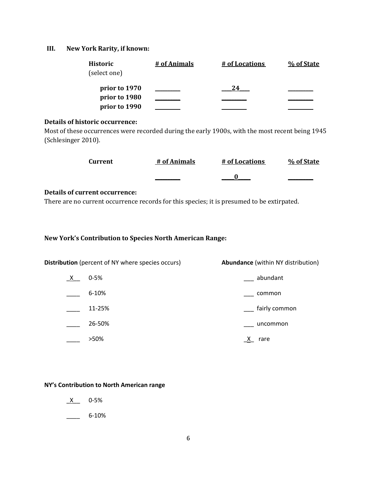# **III. New York Rarity, if known:**

| Historic      | # of Animals | # of Locations | % of State |
|---------------|--------------|----------------|------------|
| (select one)  |              |                |            |
| prior to 1970 |              | 24             |            |
| prior to 1980 |              |                |            |
| prior to 1990 |              |                |            |

# **Details of historic occurrence:**

Most of these occurrences were recorded during the early 1900s, with the most recent being 1945 (Schlesinger 2010).

| Current | # of Animals | # of Locations | % of State |
|---------|--------------|----------------|------------|
|         |              |                |            |

#### **Details of current occurrence:**

There are no current occurrence records for this species; it is presumed to be extirpated.

**New York's Contribution to Species North American Range:**

| <b>Distribution</b> (percent of NY where species occurs) |           | <b>Abundance</b> (within NY distribution) |  |
|----------------------------------------------------------|-----------|-------------------------------------------|--|
| <u>X</u>                                                 | $0 - 5%$  | abundant                                  |  |
|                                                          | $6 - 10%$ | common                                    |  |
|                                                          | 11-25%    | fairly common                             |  |
|                                                          | 26-50%    | uncommon                                  |  |
|                                                          | >50%      | rare                                      |  |

**NY's Contribution to North American range**

 $X$  0-5%

 $-$  6-10%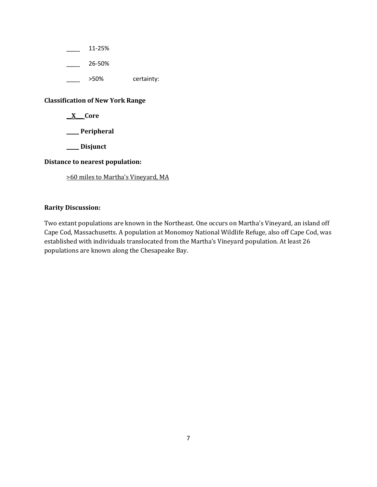\_\_\_\_ 11-25%

\_\_\_\_ 26-50%

\_\_\_\_ >50% certainty:

# **Classification of New York Range**

**\_\_X\_\_\_ Core**

**\_\_\_\_\_ Peripheral**

**\_\_\_\_\_ Disjunct**

# **Distance to nearest population:**

>60 miles to Martha's Vineyard, MA

# **Rarity Discussion:**

Two extant populations are known in the Northeast. One occurs on Martha's Vineyard, an island off Cape Cod, Massachusetts. A population at Monomoy National Wildlife Refuge, also off Cape Cod, was established with individuals translocated from the Martha's Vineyard population. At least 26 populations are known along the Chesapeake Bay.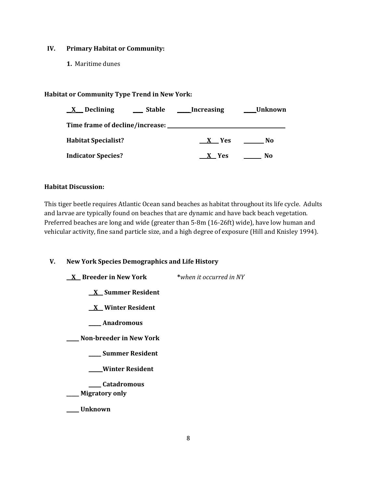### **IV. Primary Habitat or Community:**

**1.** Maritime dunes

# **Habitat or Community Type Trend in New York:**

| Declining<br>$\mathbf{X}$         | Stable | Increasing | <b>Unknown</b> |
|-----------------------------------|--------|------------|----------------|
| Time frame of decline/increase: _ |        |            |                |
| <b>Habitat Specialist?</b>        |        | $X$ Yes    | No.            |
| <b>Indicator Species?</b>         |        | X Yes      | No             |

#### **Habitat Discussion:**

This tiger beetle requires Atlantic Ocean sand beaches as habitat throughout its life cycle. Adults and larvae are typically found on beaches that are dynamic and have back beach vegetation. Preferred beaches are long and wide (greater than 5-8m (16-26ft) wide), have low human and vehicular activity, fine sand particle size, and a high degree of exposure (Hill and Knisley 1994).

**V. New York Species Demographics and Life History**

**\_\_X\_\_ Breeder in New York \****when it occurred in NY* **\_\_X\_\_ Summer Resident \_\_X\_\_ Winter Resident \_\_\_\_\_ Anadromous \_\_\_\_\_ Non-breeder in New York \_\_\_\_\_ Summer Resident \_\_\_\_\_ Winter Resident \_\_\_\_\_ Catadromous** \_\_\_\_\_ **Migratory only \_\_\_\_\_ Unknown**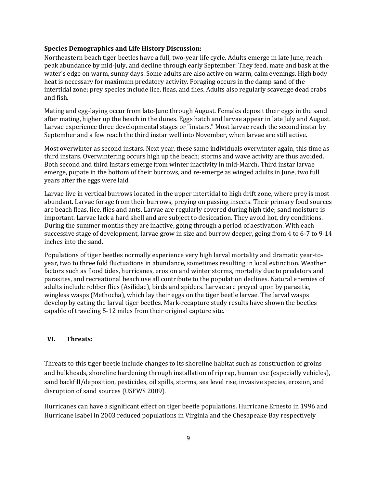#### **Species Demographics and Life History Discussion:**

Northeastern beach tiger beetles have a full, two-year life cycle. Adults emerge in late June, reach peak abundance by mid-July, and decline through early September. They feed, mate and bask at the water's edge on warm, sunny days. Some adults are also active on warm, calm evenings. High body heat is necessary for maximum predatory activity. Foraging occurs in the damp sand of the intertidal zone; prey species include lice, fleas, and flies. Adults also regularly scavenge dead crabs and fish.

Mating and egg-laying occur from late-June through August. Females deposit their eggs in the sand after mating, higher up the beach in the dunes. Eggs hatch and larvae appear in late July and August. Larvae experience three developmental stages or "instars." Most larvae reach the second instar by September and a few reach the third instar well into November, when larvae are still active.

Most overwinter as second instars. Next year, these same individuals overwinter again, this time as third instars. Overwintering occurs high up the beach; storms and wave activity are thus avoided. Both second and third instars emerge from winter inactivity in mid-March. Third instar larvae emerge, pupate in the bottom of their burrows, and re-emerge as winged adults in June, two full years after the eggs were laid.

Larvae live in vertical burrows located in the upper intertidal to high drift zone, where prey is most abundant. Larvae forage from their burrows, preying on passing insects. Their primary food sources are beach fleas, lice, flies and ants. Larvae are regularly covered during high tide; sand moisture is important. Larvae lack a hard shell and are subject to desiccation. They avoid hot, dry conditions. During the summer months they are inactive, going through a period of aestivation. With each successive stage of development, larvae grow in size and burrow deeper, going from 4 to 6-7 to 9-14 inches into the sand.

Populations of tiger beetles normally experience very high larval mortality and dramatic year-toyear, two to three fold fluctuations in abundance, sometimes resulting in local extinction. Weather factors such as flood tides, hurricanes, erosion and winter storms, mortality due to predators and parasites, and recreational beach use all contribute to the population declines. Natural enemies of adults include robber flies (Asilidae), birds and spiders. Larvae are preyed upon by parasitic, wingless wasps (Methocha), which lay their eggs on the tiger beetle larvae. The larval wasps develop by eating the larval tiger beetles. Mark-recapture study results have shown the beetles capable of traveling 5-12 miles from their original capture site.

#### **VI. Threats:**

Threats to this tiger beetle include changes to its shoreline habitat such as construction of groins and bulkheads, shoreline hardening through installation of rip rap, human use (especially vehicles), sand backfill/deposition, pesticides, oil spills, storms, sea level rise, invasive species, erosion, and disruption of sand sources (USFWS 2009).

Hurricanes can have a significant effect on tiger beetle populations. Hurricane Ernesto in 1996 and Hurricane Isabel in 2003 reduced populations in Virginia and the Chesapeake Bay respectively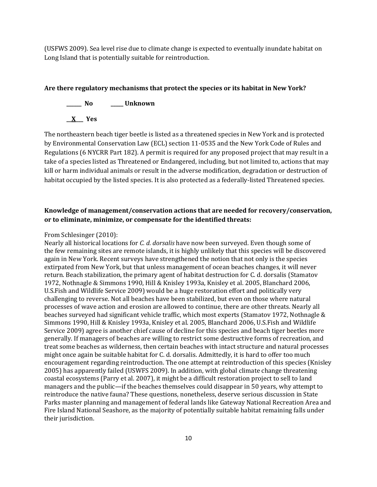(USFWS 2009). Sea level rise due to climate change is expected to eventually inundate habitat on Long Island that is potentially suitable for reintroduction.

#### **Are there regulatory mechanisms that protect the species or its habitat in New York?**



The northeastern beach tiger beetle is listed as a threatened species in New York and is protected by Environmental Conservation Law (ECL) section 11-0535 and the New York Code of Rules and Regulations (6 NYCRR Part 182). A permit is required for any proposed project that may result in a take of a species listed as Threatened or Endangered, including, but not limited to, actions that may kill or harm individual animals or result in the adverse modification, degradation or destruction of habitat occupied by the listed species. It is also protected as a federally-listed Threatened species.

# **Knowledge of management/conservation actions that are needed for recovery/conservation, or to eliminate, minimize, or compensate for the identified threats:**

#### From Schlesinger (2010):

Nearly all historical locations for *C. d. dorsalis* have now been surveyed. Even though some of the few remaining sites are remote islands, it is highly unlikely that this species will be discovered again in New York. Recent surveys have strengthened the notion that not only is the species extirpated from New York, but that unless management of ocean beaches changes, it will never return. Beach stabilization, the primary agent of habitat destruction for C. d. dorsalis (Stamatov 1972, Nothnagle & Simmons 1990, Hill & Knisley 1993a, Knisley et al. 2005, Blanchard 2006, U.S.Fish and Wildlife Service 2009) would be a huge restoration effort and politically very challenging to reverse. Not all beaches have been stabilized, but even on those where natural processes of wave action and erosion are allowed to continue, there are other threats. Nearly all beaches surveyed had significant vehicle traffic, which most experts (Stamatov 1972, Nothnagle & Simmons 1990, Hill & Knisley 1993a, Knisley et al. 2005, Blanchard 2006, U.S.Fish and Wildlife Service 2009) agree is another chief cause of decline for this species and beach tiger beetles more generally. If managers of beaches are willing to restrict some destructive forms of recreation, and treat some beaches as wilderness, then certain beaches with intact structure and natural processes might once again be suitable habitat for C. d. dorsalis. Admittedly, it is hard to offer too much encouragement regarding reintroduction. The one attempt at reintroduction of this species (Knisley 2005) has apparently failed (USWFS 2009). In addition, with global climate change threatening coastal ecosystems (Parry et al. 2007), it might be a difficult restoration project to sell to land managers and the public—if the beaches themselves could disappear in 50 years, why attempt to reintroduce the native fauna? These questions, nonetheless, deserve serious discussion in State Parks master planning and management of federal lands like Gateway National Recreation Area and Fire Island National Seashore, as the majority of potentially suitable habitat remaining falls under their jurisdiction.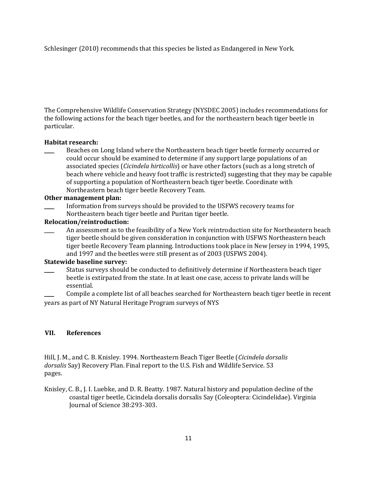Schlesinger (2010) recommends that this species be listed as Endangered in New York.

The Comprehensive Wildlife Conservation Strategy (NYSDEC 2005) includes recommendations for the following actions for the beach tiger beetles, and for the northeastern beach tiger beetle in particular.

# **Habitat research:**

Beaches on Long Island where the Northeastern beach tiger beetle formerly occurred or could occur should be examined to determine if any support large populations of an associated species (*Cicindela hirticollis*) or have other factors (such as a long stretch of beach where vehicle and heavy foot traffic is restricted) suggesting that they may be capable of supporting a population of Northeastern beach tiger beetle. Coordinate with Northeastern beach tiger beetle Recovery Team.

#### **Other management plan:**

\_\_\_\_ Information from surveys should be provided to the USFWS recovery teams for Northeastern beach tiger beetle and Puritan tiger beetle.

# **Relocation/reintroduction:**

An assessment as to the feasibility of a New York reintroduction site for Northeastern beach tiger beetle should be given consideration in conjunction with USFWS Northeastern beach tiger beetle Recovery Team planning. Introductions took place in New Jersey in 1994, 1995, and 1997 and the beetles were still present as of 2003 (USFWS 2004).

# **Statewide baseline survey:**

Status surveys should be conducted to definitively determine if Northeastern beach tiger beetle is extirpated from the state. In at least one case, access to private lands will be essential.

\_\_\_\_ Compile a complete list of all beaches searched for Northeastern beach tiger beetle in recent years as part of NY Natural Heritage Program surveys of NYS

#### **VII. References**

Hill, J. M., and C. B. Knisley. 1994. Northeastern Beach Tiger Beetle (*Cicindela dorsalis dorsalis* Say) Recovery Plan. Final report to the U.S. Fish and Wildlife Service. 53 pages.

Knisley, C. B., J. I. Luebke, and D. R. Beatty. 1987. Natural history and population decline of the coastal tiger beetle, Cicindela dorsalis dorsalis Say (Coleoptera: Cicindelidae). Virginia Journal of Science 38:293-303.